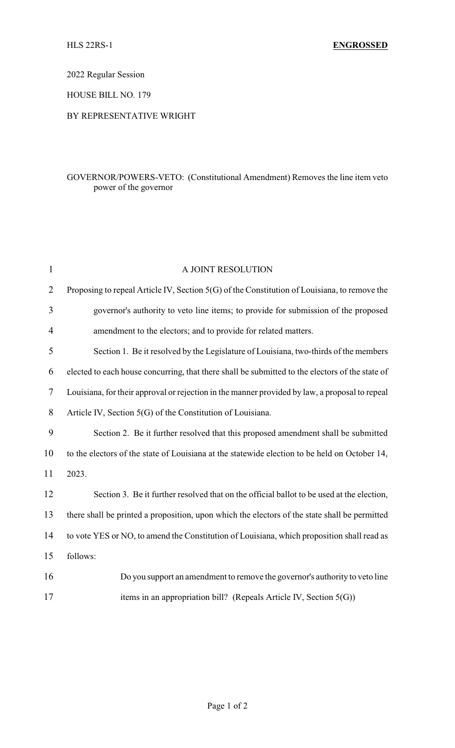2022 Regular Session

HOUSE BILL NO. 179

## BY REPRESENTATIVE WRIGHT

## GOVERNOR/POWERS-VETO: (Constitutional Amendment) Removes the line item veto power of the governor

| $\mathbf{1}$   | A JOINT RESOLUTION                                                                              |
|----------------|-------------------------------------------------------------------------------------------------|
| $\overline{2}$ | Proposing to repeal Article IV, Section 5(G) of the Constitution of Louisiana, to remove the    |
| 3              | governor's authority to veto line items; to provide for submission of the proposed              |
| 4              | amendment to the electors; and to provide for related matters.                                  |
| 5              | Section 1. Be it resolved by the Legislature of Louisiana, two-thirds of the members            |
| 6              | elected to each house concurring, that there shall be submitted to the electors of the state of |
| 7              | Louisiana, for their approval or rejection in the manner provided by law, a proposal to repeal  |
| 8              | Article IV, Section 5(G) of the Constitution of Louisiana.                                      |
| 9              | Section 2. Be it further resolved that this proposed amendment shall be submitted               |
| 10             | to the electors of the state of Louisiana at the statewide election to be held on October 14,   |
| 11             | 2023.                                                                                           |
| 12             | Section 3. Be it further resolved that on the official ballot to be used at the election,       |
| 13             | there shall be printed a proposition, upon which the electors of the state shall be permitted   |
| 14             | to vote YES or NO, to amend the Constitution of Louisiana, which proposition shall read as      |
| 15             | follows:                                                                                        |
| 16             | Do you support an amendment to remove the governor's authority to veto line                     |
| 17             | items in an appropriation bill? (Repeals Article IV, Section $5(G)$ )                           |